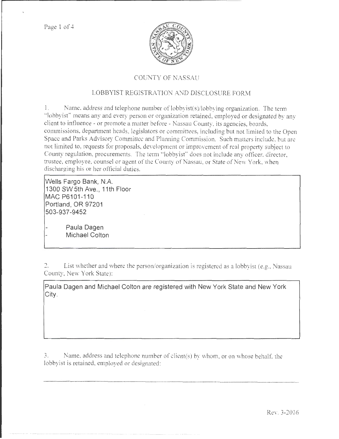Page 1 of 4



## COUNTY OF NASSAU

## LOBBYIST REGISTRATION AND DISCLOSURE FORM

l. Name, address and telephone number of lobbyist(s)/lobbying organization. The term ·'lobbyist" means any and every person or organization retained, employed or designated by any client to jnfluence- or promote a matter before- Nassau County. its agencies, boards, commissions, department heads. legislators or committees, including but not limited to the Open Space and Parks Advisory Committee and Planning Commission. Such matters include. but arc not limited to, requests for proposals, development or improvement of real property subject to County regulation, procurements. The term "lobbyist" does not include any officer, director, trustee, employee, counsel or agent of the County of Nassau, or State of New York, when discharging his or her official duties.

**Wells Fargo Bank, N.A. 1300 SW 5th Ave., 11th Floor MAC P6101 -110 Portland , OR 97201 503-937-9452** 

**Paula Dagen Michael Colton** 

2. List whether and where the person/organization is registered as a lobbyist (e.g., Nassau County, New York State):

**Paula Dagen and Michael Colton are registered with New York State and New York City.** 

3. Name, address and telephone number of client(s) by whom, or on whose behalf, the lobbyist is retained, employed or designated:

..... ······························----·-··-----·-···············.

Rev. 3-2016

----------------------------------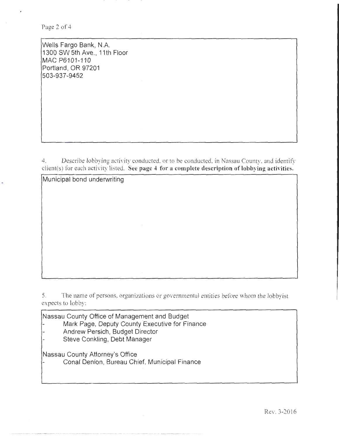Page 2 of 4

Wells Fargo Bank, N.A. 1300 SW 5th Ave., 11th Floor MAC P6101-110 Portland, OR 97201 503-937-9452

4. Describe lobbying activity conducted, or to be conducted, in Nassau County. and identify client(s) for each activity listed. See page 4 for a complete description of lobbying activities.

Municipal bond underwriting

5. The name of persons. organizations or governmental entities before whom the lobbyist expects to lobby:

Nassau County Office of Management and Budget

- Mark Page, Deputy County Executive for Finance
- Andrew Persich, Budget Director
- Steve Conkling, Debt Manager

Nassau County Attorney's Office

···········-··-·-----·----

Conal Denion, Bureau Chief, Municipal Finance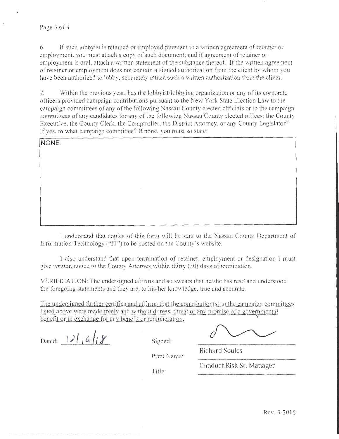## Page 3 of 4

6. If such lobby is is retained or employed pursuant to a written agreement of retainer or employment, you must attach a copy of such document; and if agreement of retainer or employment is oral, attach a written statement of the substance thereof. If the written agreement of retainer or employment does not contain a signed authorization from the client by whom you have been authorized to lobby, separately attach such a written authorization from the client.

7. Within the previous year, has the lobbyist/lobbying organization or any of its corporate officers provided campaign contributions pursuant to the New York State Election Law to the campaign committees of any of the following Nassau County elected officials or to the campaign committees of any candidates for any of the following Nassau County elected offices: the County Executive, the County Clerk, the Comptroller, the District Attorney, or any County Legislator? If yes, to what campaign committee? If none. you must so state:

| NONE. |  |  |
|-------|--|--|
|       |  |  |
|       |  |  |
|       |  |  |
|       |  |  |
|       |  |  |
|       |  |  |
|       |  |  |

I understand that copies of this form will be sent to the Nassau County Department of Information Technology ("IT") to be posted on the County's website.

I also understand that upon termination of retainer, employment or designation 1 must give written notice to the County Attomey within thirty (30) days of termination.

VERIFICATION: The undersigned affirms and so swears that he/she has read and understood the foregoing statements and they are, to his/her knowledge, true and accurate.

The undersigned further certifies and affirms that the contribution(s) to the campaign committees listed above were made freely and without duress, threat or any promise of a governmental benefit or in exchange for any benefit or remuneration. '

Dated:  $\frac{1}{\sqrt{1-a}}$   $\frac{1}{\sqrt{8}}$  Signed:

....................... \_\_\_\_ \_

Print Name:

Richard Soules

Conduct Risk Sr. Manager

Title: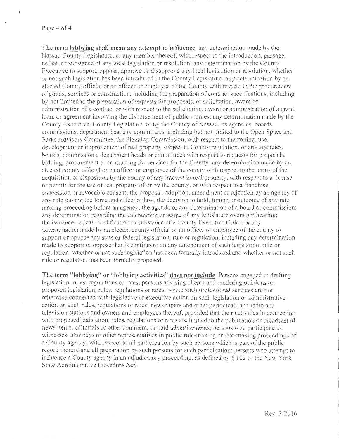Page 4 of 4

**The term lobbving shall mean any attempt to influence:** any detennination made by the Nassau County Legislature, or any member thereof, with respect to the introduction, passage, defeat, or substance of any local legislation or resolution; any determination by the County Executive to support. oppose, approve or disapprove any local legislation or resolution. whether or not such legislation has been introduced in the County Legislature; any detennination by an elected County official or an officer or employee of the County with respect to the procurement of goods, services or construction. induding the preparation of contract specifications, including by not limited to the preparation of requests for proposals, or solicitation, award or administration of a contract or with respect to the solicitation, award or administration of a grant, loan, or agreement involving the disbursement of public monies; any determination made by the Coumy Executive, County Legislature. or by the County of Nassau, its agencies, boards. commissions, department heads or committees, including but not limited to the Open Space and Parks Advisory Committee, the Planning Commission. with respect to the zoning, use. development or improvement of real property subject to County regulation, or any agencies, boards, commissions, department heads or committees with respect to requests for proposals, bidding, procurement or contracting for services for the County; any determination made by an elected county official or an officer or employee of the county with respect to the terms of the acquisition or disposition by the county of any interest in real property. with respect to a license or permit for the use of real property of or by the county, or with respect to a franchise, concession or revocable consent; the proposal, adoption, amendment or rejection by an agency of any rule having the force and effect of law; the decision to hold, timing or outcome of any rate making proceeding before an agency; the agenda or any determination of a board or commission; any determination regarding the calendaring or scope of any legislature oversight hearing; the issuance, repeal, modification or substance of a County Executive Order; or any detennination made by an elected county official or an officer or employee of the county to support or oppose any state or federal legislation, rule or regulation, including any determination made to support or oppose that is contingent on any amendment of such legislation, rule or regulation, whether or not such legislation has been formally introduced and whether or not such rule or regulation has been formally proposed.

**The term "lobbying" or "lobbying activities" does not include:** Persons engaged in drafting legislation, rules, regulations or rates; persons advising clients and rendering opinions on proposed legislation, rules. regulations or rates. where such professional services are not otherwise connected with legislative or executive action on such legislation or administrative action on such rules, regulations or rates: newspapers and other periodicals and radio and television stations and owners and employees thereof. provided that their activities in connection with proposed legislation, rules, regulations or rates are limited to the publication or broadcast of news items, editorials or other comment, or paid advertisements; persons who participate as witnesses. attorneys or other representatives in public rule-making or rate-making proceedings of a County agency, with respect to all participation by such persons which is part of the public record thereof and all preparation by such persons for such participation; persons who attempt to intluence a County agency in an adjudicatory proceeding. as defined by§ 102 of the New York State Administrative Procedure Act.